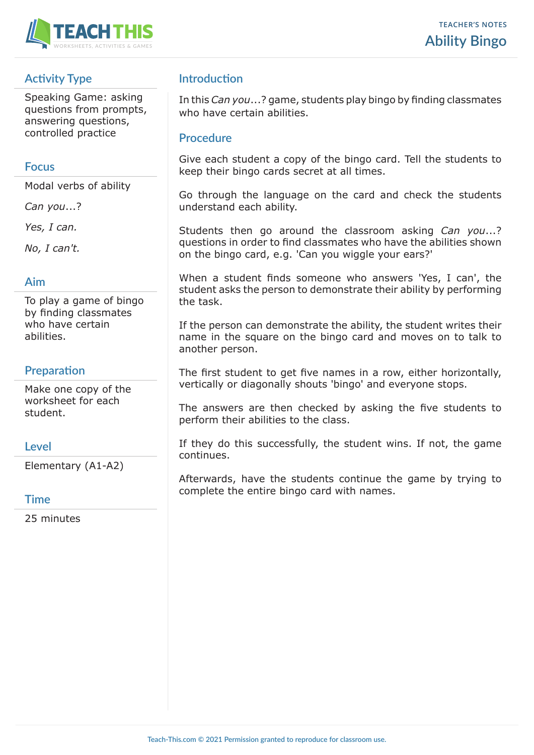

# **Activity Type**

Speaking Game: asking questions from prompts, answering questions, controlled practice

#### **Focus**

Modal verbs of ability

*Can you*...?

*Yes, I can.*

*No, I can't.*

## **Aim**

To play a game of bingo by finding classmates who have certain abilities.

## **Preparation**

Make one copy of the worksheet for each student.

#### **Level**

Elementary (A1-A2)

#### **Time**

25 minutes

# **Introduction**

In this *Can you*...? game, students play bingo by finding classmates who have certain abilities.

#### **Procedure**

Give each student a copy of the bingo card. Tell the students to keep their bingo cards secret at all times.

Go through the language on the card and check the students understand each ability.

Students then go around the classroom asking *Can you*...? questions in order to find classmates who have the abilities shown on the bingo card, e.g. 'Can you wiggle your ears?'

When a student finds someone who answers 'Yes, I can', the student asks the person to demonstrate their ability by performing the task.

If the person can demonstrate the ability, the student writes their name in the square on the bingo card and moves on to talk to another person.

The first student to get five names in a row, either horizontally, vertically or diagonally shouts 'bingo' and everyone stops.

The answers are then checked by asking the five students to perform their abilities to the class.

If they do this successfully, the student wins. If not, the game continues.

Afterwards, have the students continue the game by trying to complete the entire bingo card with names.